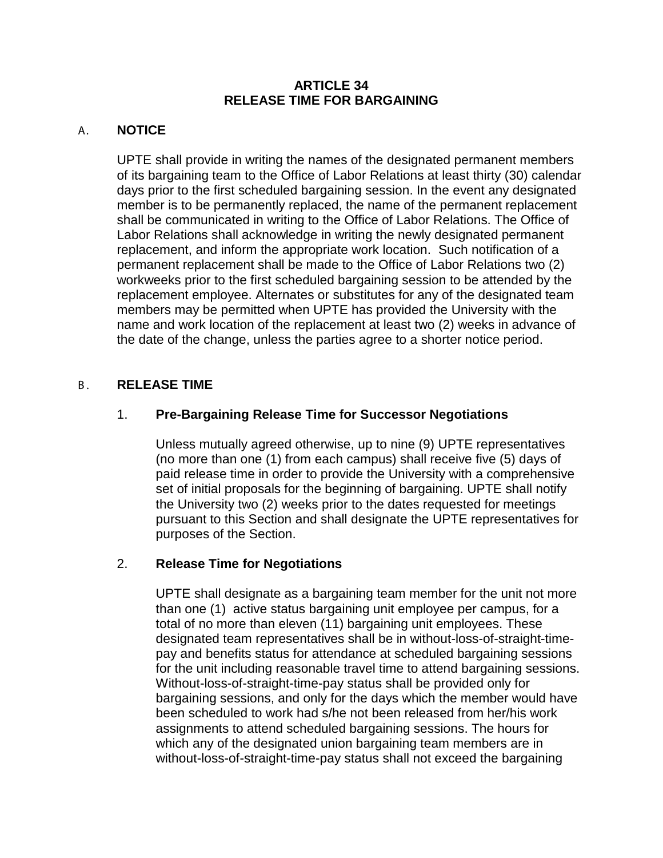### **ARTICLE 34 RELEASE TIME FOR BARGAINING**

## A. **NOTICE**

UPTE shall provide in writing the names of the designated permanent members of its bargaining team to the Office of Labor Relations at least thirty (30) calendar days prior to the first scheduled bargaining session. In the event any designated member is to be permanently replaced, the name of the permanent replacement shall be communicated in writing to the Office of Labor Relations. The Office of Labor Relations shall acknowledge in writing the newly designated permanent replacement, and inform the appropriate work location. Such notification of a permanent replacement shall be made to the Office of Labor Relations two (2) workweeks prior to the first scheduled bargaining session to be attended by the replacement employee. Alternates or substitutes for any of the designated team members may be permitted when UPTE has provided the University with the name and work location of the replacement at least two (2) weeks in advance of the date of the change, unless the parties agree to a shorter notice period.

### B. **RELEASE TIME**

# 1. **Pre-Bargaining Release Time for Successor Negotiations**

Unless mutually agreed otherwise, up to nine (9) UPTE representatives (no more than one (1) from each campus) shall receive five (5) days of paid release time in order to provide the University with a comprehensive set of initial proposals for the beginning of bargaining. UPTE shall notify the University two (2) weeks prior to the dates requested for meetings pursuant to this Section and shall designate the UPTE representatives for purposes of the Section.

#### 2. **Release Time for Negotiations**

UPTE shall designate as a bargaining team member for the unit not more than one (1) active status bargaining unit employee per campus, for a total of no more than eleven (11) bargaining unit employees. These designated team representatives shall be in without-loss-of-straight-timepay and benefits status for attendance at scheduled bargaining sessions for the unit including reasonable travel time to attend bargaining sessions. Without-loss-of-straight-time-pay status shall be provided only for bargaining sessions, and only for the days which the member would have been scheduled to work had s/he not been released from her/his work assignments to attend scheduled bargaining sessions. The hours for which any of the designated union bargaining team members are in without-loss-of-straight-time-pay status shall not exceed the bargaining